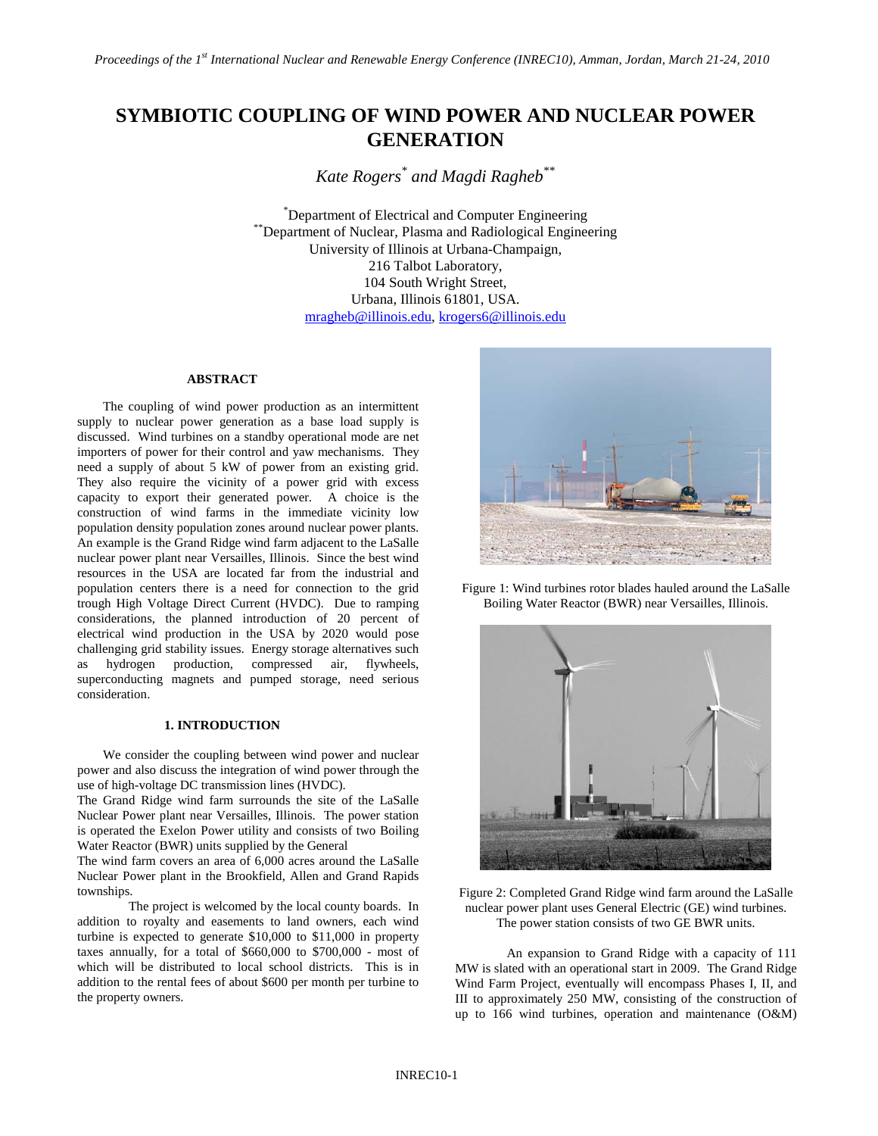# **SYMBIOTIC COUPLING OF WIND POWER AND NUCLEAR POWER GENERATION**

*Kate Rogers\* and Magdi Ragheb\*\**

\*Department of Electrical and Computer Engineering \*Department of Nuclear, Plasma and Radiological Engineering University of Illinois at Urbana-Champaign, 216 Talbot Laboratory, 104 South Wright Street, Urbana, Illinois 61801, USA. [mragheb@illinois.edu,](mailto:mragheb@illinois.edu) [krogers6@illinois.edu](mailto:krogers6@illinois.edu)

#### **ABSTRACT**

The coupling of wind power production as an intermittent supply to nuclear power generation as a base load supply is discussed. Wind turbines on a standby operational mode are net importers of power for their control and yaw mechanisms. They need a supply of about 5 kW of power from an existing grid. They also require the vicinity of a power grid with excess capacity to export their generated power. A choice is the construction of wind farms in the immediate vicinity low population density population zones around nuclear power plants. An example is the Grand Ridge wind farm adjacent to the LaSalle nuclear power plant near Versailles, Illinois. Since the best wind resources in the USA are located far from the industrial and population centers there is a need for connection to the grid trough High Voltage Direct Current (HVDC). Due to ramping considerations, the planned introduction of 20 percent of electrical wind production in the USA by 2020 would pose challenging grid stability issues. Energy storage alternatives such as hydrogen production, compressed air, flywheels, superconducting magnets and pumped storage, need serious consideration.

# **1. INTRODUCTION**

We consider the coupling between wind power and nuclear power and also discuss the integration of wind power through the use of high-voltage DC transmission lines (HVDC).

The Grand Ridge wind farm surrounds the site of the LaSalle Nuclear Power plant near Versailles, Illinois. The power station is operated the Exelon Power utility and consists of two Boiling Water Reactor (BWR) units supplied by the General

The wind farm covers an area of 6,000 acres around the LaSalle Nuclear Power plant in the Brookfield, Allen and Grand Rapids townships.

The project is welcomed by the local county boards. In addition to royalty and easements to land owners, each wind turbine is expected to generate \$10,000 to \$11,000 in property taxes annually, for a total of \$660,000 to \$700,000 - most of which will be distributed to local school districts. This is in addition to the rental fees of about \$600 per month per turbine to the property owners.



Figure 1: Wind turbines rotor blades hauled around the LaSalle Boiling Water Reactor (BWR) near Versailles, Illinois.



Figure 2: Completed Grand Ridge wind farm around the LaSalle nuclear power plant uses General Electric (GE) wind turbines. The power station consists of two GE BWR units.

An expansion to Grand Ridge with a capacity of 111 MW is slated with an operational start in 2009. The Grand Ridge Wind Farm Project, eventually will encompass Phases I, II, and III to approximately 250 MW, consisting of the construction of up to 166 wind turbines, operation and maintenance (O&M)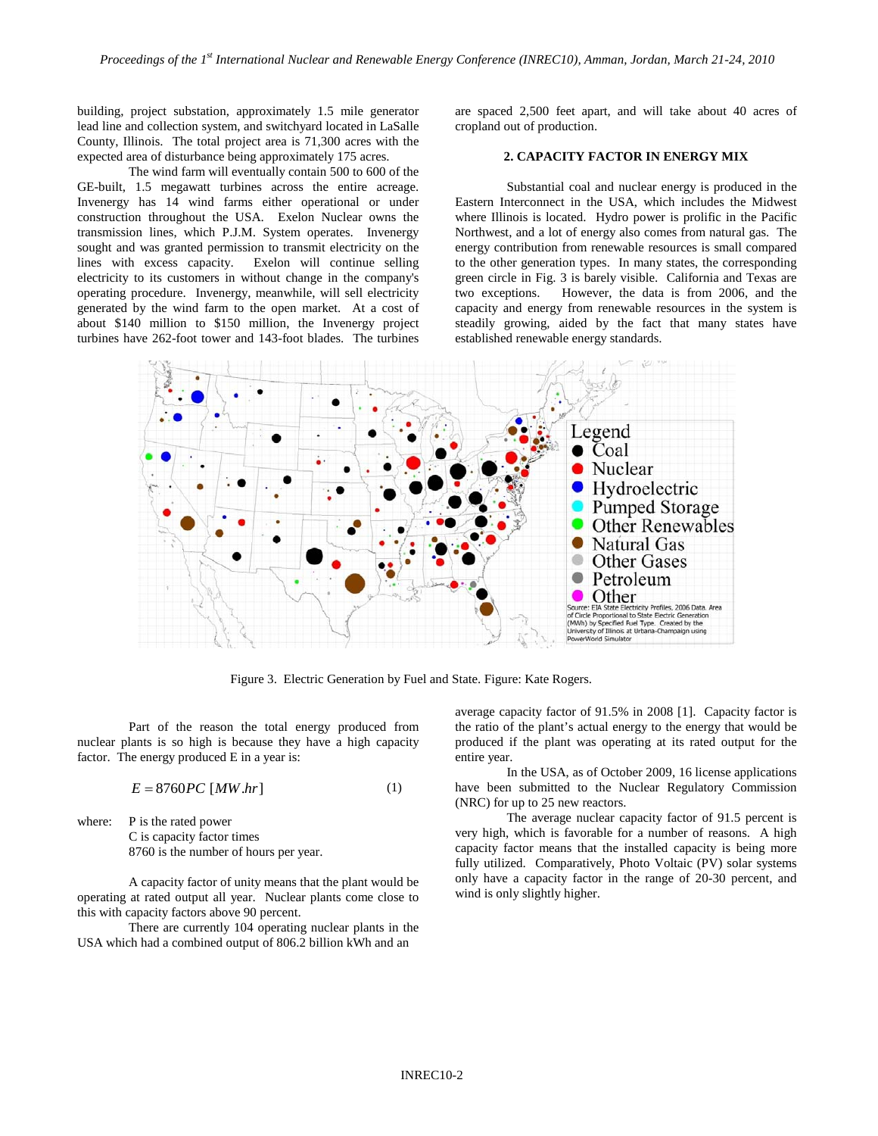building, project substation, approximately 1.5 mile generator lead line and collection system, and switchyard located in LaSalle County, Illinois. The total project area is 71,300 acres with the expected area of disturbance being approximately 175 acres.

The wind farm will eventually contain 500 to 600 of the GE-built, 1.5 megawatt turbines across the entire acreage. Invenergy has 14 wind farms either operational or under construction throughout the USA. Exelon Nuclear owns the transmission lines, which P.J.M. System operates. Invenergy sought and was granted permission to transmit electricity on the lines with excess capacity. Exelon will continue selling electricity to its customers in without change in the company's operating procedure. Invenergy, meanwhile, will sell electricity generated by the wind farm to the open market. At a cost of about \$140 million to \$150 million, the Invenergy project turbines have 262-foot tower and 143-foot blades. The turbines

are spaced 2,500 feet apart, and will take about 40 acres of cropland out of production.

# **2. CAPACITY FACTOR IN ENERGY MIX**

Substantial coal and nuclear energy is produced in the Eastern Interconnect in the USA, which includes the Midwest where Illinois is located. Hydro power is prolific in the Pacific Northwest, and a lot of energy also comes from natural gas. The energy contribution from renewable resources is small compared to the other generation types. In many states, the corresponding green circle in Fig. 3 is barely visible. California and Texas are two exceptions. However, the data is from 2006, and the capacity and energy from renewable resources in the system is steadily growing, aided by the fact that many states have established renewable energy standards.



Figure 3. Electric Generation by Fuel and State. Figure: Kate Rogers.

Part of the reason the total energy produced from nuclear plants is so high is because they have a high capacity factor. The energy produced E in a year is:

$$
E = 8760PC \, [MW.hr] \tag{1}
$$

where: P is the rated power C is capacity factor times 8760 is the number of hours per year.

A capacity factor of unity means that the plant would be operating at rated output all year. Nuclear plants come close to this with capacity factors above 90 percent.

There are currently 104 operating nuclear plants in the USA which had a combined output of 806.2 billion kWh and an

average capacity factor of 91.5% in 2008 [1]. Capacity factor is the ratio of the plant's actual energy to the energy that would be produced if the plant was operating at its rated output for the entire year.

In the USA, as of October 2009, 16 license applications have been submitted to the Nuclear Regulatory Commission (NRC) for up to 25 new reactors.

The average nuclear capacity factor of 91.5 percent is very high, which is favorable for a number of reasons. A high capacity factor means that the installed capacity is being more fully utilized. Comparatively, Photo Voltaic (PV) solar systems only have a capacity factor in the range of 20-30 percent, and wind is only slightly higher.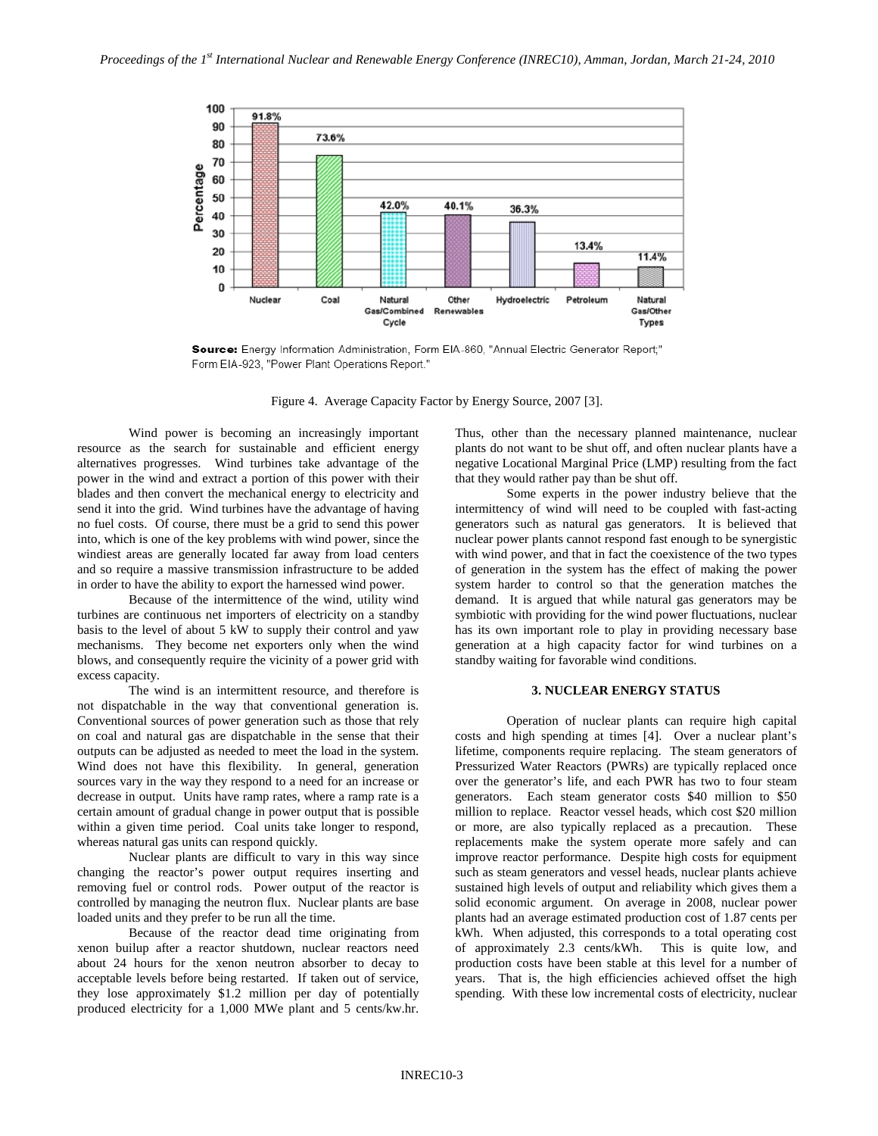

Source: Energy Information Administration, Form EIA-860, "Annual Electric Generator Report;" Form EIA-923, "Power Plant Operations Report."

Figure 4. Average Capacity Factor by Energy Source, 2007 [3].

Wind power is becoming an increasingly important resource as the search for sustainable and efficient energy alternatives progresses. Wind turbines take advantage of the power in the wind and extract a portion of this power with their blades and then convert the mechanical energy to electricity and send it into the grid. Wind turbines have the advantage of having no fuel costs. Of course, there must be a grid to send this power into, which is one of the key problems with wind power, since the windiest areas are generally located far away from load centers and so require a massive transmission infrastructure to be added in order to have the ability to export the harnessed wind power.

Because of the intermittence of the wind, utility wind turbines are continuous net importers of electricity on a standby basis to the level of about 5 kW to supply their control and yaw mechanisms. They become net exporters only when the wind blows, and consequently require the vicinity of a power grid with excess capacity.

The wind is an intermittent resource, and therefore is not dispatchable in the way that conventional generation is. Conventional sources of power generation such as those that rely on coal and natural gas are dispatchable in the sense that their outputs can be adjusted as needed to meet the load in the system. Wind does not have this flexibility. In general, generation sources vary in the way they respond to a need for an increase or decrease in output. Units have ramp rates, where a ramp rate is a certain amount of gradual change in power output that is possible within a given time period. Coal units take longer to respond, whereas natural gas units can respond quickly.

Nuclear plants are difficult to vary in this way since changing the reactor's power output requires inserting and removing fuel or control rods. Power output of the reactor is controlled by managing the neutron flux. Nuclear plants are base loaded units and they prefer to be run all the time.

Because of the reactor dead time originating from xenon builup after a reactor shutdown, nuclear reactors need about 24 hours for the xenon neutron absorber to decay to acceptable levels before being restarted. If taken out of service, they lose approximately \$1.2 million per day of potentially produced electricity for a 1,000 MWe plant and 5 cents/kw.hr.

Thus, other than the necessary planned maintenance, nuclear plants do not want to be shut off, and often nuclear plants have a negative Locational Marginal Price (LMP) resulting from the fact that they would rather pay than be shut off.

Some experts in the power industry believe that the intermittency of wind will need to be coupled with fast-acting generators such as natural gas generators. It is believed that nuclear power plants cannot respond fast enough to be synergistic with wind power, and that in fact the coexistence of the two types of generation in the system has the effect of making the power system harder to control so that the generation matches the demand. It is argued that while natural gas generators may be symbiotic with providing for the wind power fluctuations, nuclear has its own important role to play in providing necessary base generation at a high capacity factor for wind turbines on a standby waiting for favorable wind conditions.

#### **3. NUCLEAR ENERGY STATUS**

Operation of nuclear plants can require high capital costs and high spending at times [4]. Over a nuclear plant's lifetime, components require replacing. The steam generators of Pressurized Water Reactors (PWRs) are typically replaced once over the generator's life, and each PWR has two to four steam generators. Each steam generator costs \$40 million to \$50 million to replace. Reactor vessel heads, which cost \$20 million or more, are also typically replaced as a precaution. These replacements make the system operate more safely and can improve reactor performance. Despite high costs for equipment such as steam generators and vessel heads, nuclear plants achieve sustained high levels of output and reliability which gives them a solid economic argument. On average in 2008, nuclear power plants had an average estimated production cost of 1.87 cents per kWh. When adjusted, this corresponds to a total operating cost of approximately 2.3 cents/kWh. This is quite low, and production costs have been stable at this level for a number of years. That is, the high efficiencies achieved offset the high spending. With these low incremental costs of electricity, nuclear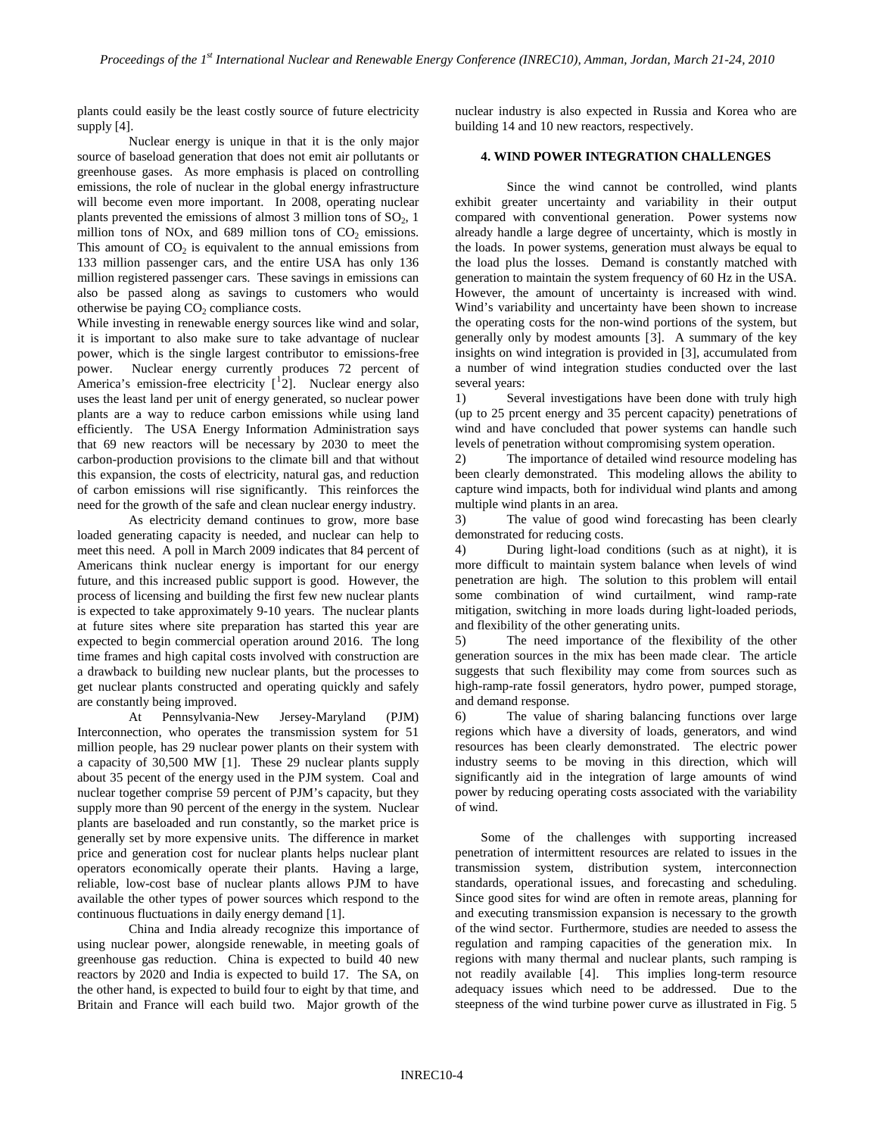plants could easily be the least costly source of future electricity supply [4].

Nuclear energy is unique in that it is the only major source of baseload generation that does not emit air pollutants or greenhouse gases. As more emphasis is placed on controlling emissions, the role of nuclear in the global energy infrastructure will become even more important. In 2008, operating nuclear plants prevented the emissions of almost 3 million tons of  $SO<sub>2</sub>$ , 1 million tons of NOx, and 689 million tons of  $CO<sub>2</sub>$  emissions. This amount of  $CO<sub>2</sub>$  is equivalent to the annual emissions from 133 million passenger cars, and the entire USA has only 136 million registered passenger cars. These savings in emissions can also be passed along as savings to customers who would otherwise be paying  $CO<sub>2</sub>$  compliance costs.

While investing in renewable energy sources like wind and solar, it is important to also make sure to take advantage of nuclear power, which is the single largest contributor to emissions-free power. Nuclear energy currently produces 72 percent of America's emission-free electricity  $[\frac{1}{2}]$  $[\frac{1}{2}]$  $[\frac{1}{2}]$  $[\frac{1}{2}]$  $[\frac{1}{2}]$ . Nuclear energy also uses the least land per unit of energy generated, so nuclear power plants are a way to reduce carbon emissions while using land efficiently. The USA Energy Information Administration says that 69 new reactors will be necessary by 2030 to meet the carbon-production provisions to the climate bill and that without this expansion, the costs of electricity, natural gas, and reduction of carbon emissions will rise significantly. This reinforces the need for the growth of the safe and clean nuclear energy industry.

As electricity demand continues to grow, more base loaded generating capacity is needed, and nuclear can help to meet this need. A poll in March 2009 indicates that 84 percent of Americans think nuclear energy is important for our energy future, and this increased public support is good. However, the process of licensing and building the first few new nuclear plants is expected to take approximately 9-10 years. The nuclear plants at future sites where site preparation has started this year are expected to begin commercial operation around 2016. The long time frames and high capital costs involved with construction are a drawback to building new nuclear plants, but the processes to get nuclear plants constructed and operating quickly and safely are constantly being improved.

<span id="page-3-5"></span><span id="page-3-4"></span><span id="page-3-3"></span><span id="page-3-2"></span>At Pennsylvania-New Jersey-Maryland (PJM) Interconnection, who operates the transmission system for 51 million people, has 29 nuclear power plants on their system with a capacity of 30,500 MW [\[1\]](#page-3-0). These 29 nuclear plants supply about 35 pecent of the energy used in the PJM system. Coal and nuclear together comprise 59 percent of PJM's capacity, but they supply more than 90 percent of the energy in the system. Nuclear plants are baseloaded and run constantly, so the market price is generally set by more expensive units. The difference in market price and generation cost for nuclear plants helps nuclear plant operators economically operate their plants. Having a large, reliable, low-cost base of nuclear plants allows PJM to have available the other types of power sources which respond to the continuous fluctuations in daily energy demand [\[1\]](#page-3-0).

<span id="page-3-15"></span><span id="page-3-14"></span><span id="page-3-13"></span><span id="page-3-12"></span><span id="page-3-11"></span><span id="page-3-10"></span><span id="page-3-9"></span><span id="page-3-8"></span><span id="page-3-7"></span>China and India already recognize this importance of using nuclear power, alongside renewable, in meeting goals of greenhouse gas reduction. China is expected to build 40 new reactors by 2020 and India is expected to build 17. The SA, on the other hand, is expected to build four to eight by that time, and Britain and France will each build two. Major growth of the nuclear industry is also expected in Russia and Korea who are building 14 and 10 new reactors, respectively.

# **4. WIND POWER INTEGRATION CHALLENGES**

Since the wind cannot be controlled, wind plants exhibit greater uncertainty and variability in their output compared with conventional generation. Power systems now already handle a large degree of uncertainty, which is mostly in the loads. In power systems, generation must always be equal to the load plus the losses. Demand is constantly matched with generation to maintain the system frequency of 60 Hz in the USA. However, the amount of uncertainty is increased with wind. Wind's variability and uncertainty have been shown to increase the operating costs for the non-wind portions of the system, but generally only by modest amounts [[3](#page-3-4) ]. A summary of the key insights on wind integration is provided in [[3](#page-3-1)], accumulated from a number of wind integration studies conducted over the last several years:

<span id="page-3-1"></span><span id="page-3-0"></span>1) Several investigations have been done with truly high (up to 25 prcent energy and 35 percent capacity) penetrations of wind and have concluded that power systems can handle such levels of penetration without compromising system operation.

2) The importance of detailed wind resource modeling has been clearly demonstrated. This modeling allows the ability to capture wind impacts, both for individual wind plants and among multiple wind plants in an area.

3) The value of good wind forecasting has been clearly demonstrated for reducing costs.

4) During light-load conditions (such as at night), it is more difficult to maintain system balance when levels of wind penetration are high. The solution to this problem will entail some combination of wind curtailment, wind ramp-rate mitigation, switching in more loads during light-loaded periods, and flexibility of the other generating units.

5) The need importance of the flexibility of the other generation sources in the mix has been made clear. The article suggests that such flexibility may come from sources such as high-ramp-rate fossil generators, hydro power, pumped storage, and demand response.

6) The value of sharing balancing functions over large regions which have a diversity of loads, generators, and wind resources has been clearly demonstrated. The electric power industry seems to be moving in this direction, which will significantly aid in the integration of large amounts of wind power by reducing operating costs associated with the variability of wind.

<span id="page-3-6"></span>Some of the challenges with supporting increased penetration of intermittent resources are related to issues in the transmission system, distribution system, interconnection standards, operational issues, and forecasting and scheduling. Since good sites for wind are often in remote areas, planning for and executing transmission expansion is necessary to the growth of the wind sector. Furthermore, studies are needed to assess the regulation and ramping capacities of the generation mix. In regions with many thermal and nuclear plants, such ramping is not readily available [[4](#page-3-5) ]. This implies long-term resource steepness of the wind turbine power curve as illustrated in [Fig. 5](#page-4-0) adequacy issues which need to be addressed. Due to the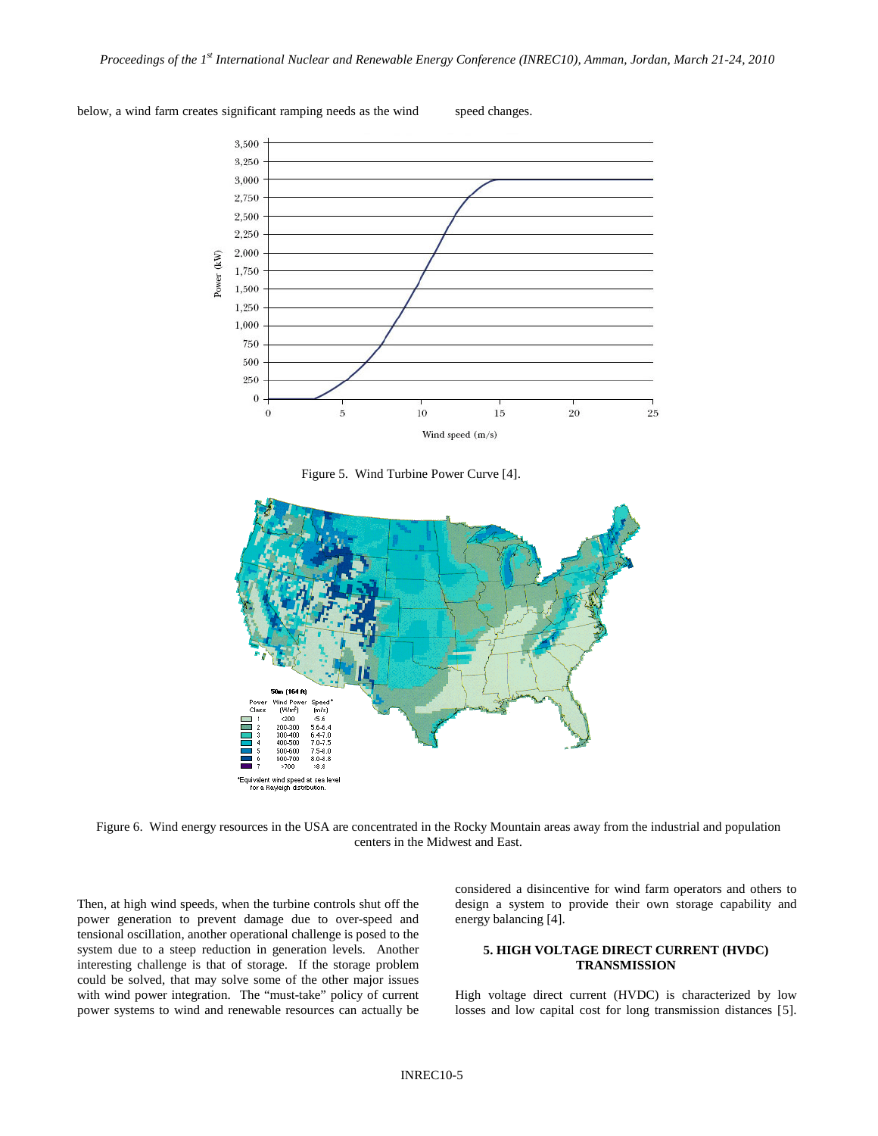

below, a wind farm creates significant ramping needs as the wind speed changes.



<span id="page-4-0"></span>

Figure 6. Wind energy resources in the USA are concentrated in the Rocky Mountain areas away from the industrial and population centers in the Midwest and East.

Then, at high wind speeds, when the turbine controls shut off the power generation to prevent damage due to over-speed and tensional oscillation, another operational challenge is posed to the system due to a steep reduction in generation levels. Another interesting challenge is that of storage. If the storage problem could be solved, that may solve some of the other major issues with wind power integration. The "must-take" policy of current power systems to wind and renewable resources can actually be considered a disincentive for wind farm operators and others to design a system to provide their own storage capability and energy balancing [\[4\]](#page-3-6).

### <span id="page-4-1"></span>**5. HIGH VOLTAGE DIRECT CURRENT (HVDC) TRANSMISSION**

High voltage direct current (HVDC) is characterized by low losses and low capital cost for long transmission distances [[5](#page-3-7)].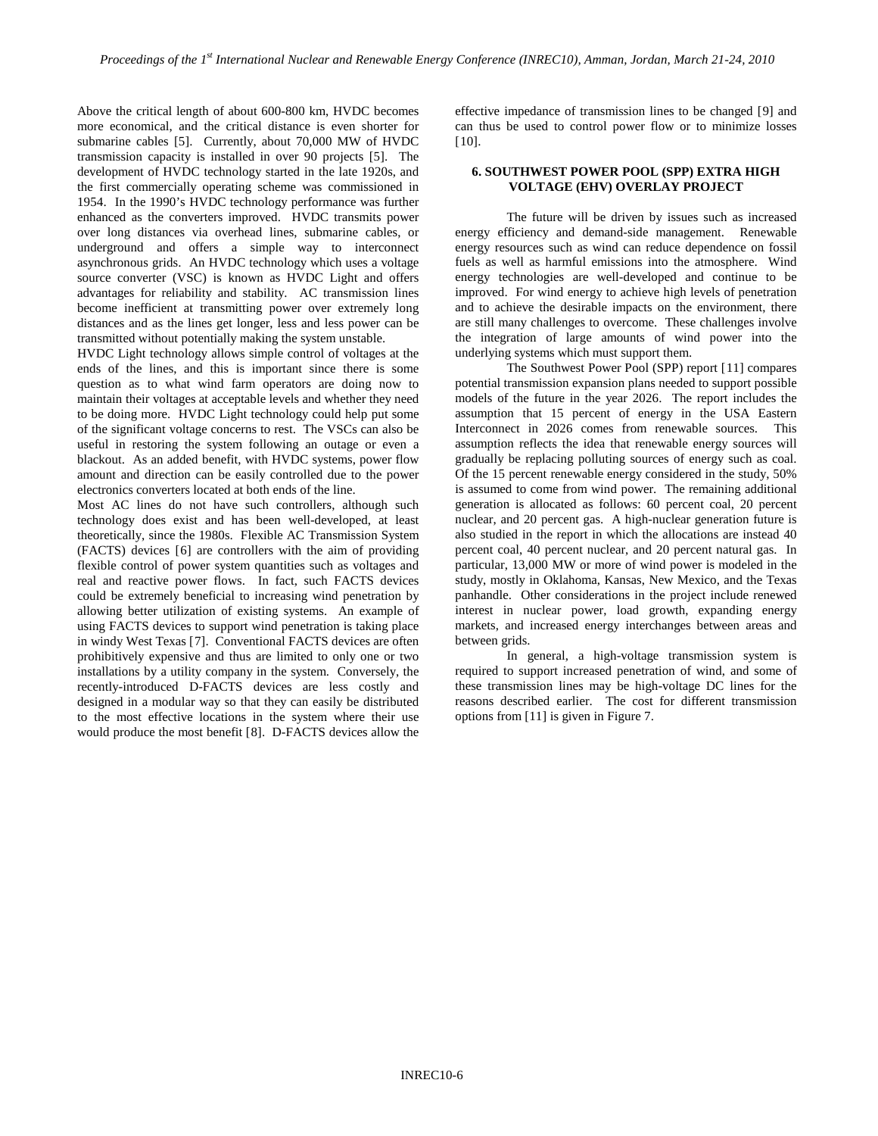Above the critical length of about 600-800 km, HVDC becomes more economical, and the critical distance is even shorter for submarine cables [\[5\]](#page-4-1). Currently, about 70,000 MW of HVDC transmission capacity is installed in over 90 projects [\[5\]](#page-4-1). The development of HVDC technology started in the late 1920s, and the first commercially operating scheme was commissioned in 1954. In the 1990's HVDC technology performance was further enhanced as the converters improved. HVDC transmits power over long distances via overhead lines, submarine cables, or underground and offers a simple way to interconnect asynchronous grids. An HVDC technology which uses a voltage source converter (VSC) is known as HVDC Light and offers advantages for reliability and stability. AC transmission lines become inefficient at transmitting power over extremely long distances and as the lines get longer, less and less power can be transmitted without potentially making the system unstable.

HVDC Light technology allows simple control of voltages at the ends of the lines, and this is important since there is some question as to what wind farm operators are doing now to maintain their voltages at acceptable levels and whether they need to be doing more. HVDC Light technology could help put some of the significant voltage concerns to rest. The VSCs can also be useful in restoring the system following an outage or even a blackout. As an added benefit, with HVDC systems, power flow amount and direction can be easily controlled due to the power electronics converters located at both ends of the line.

Most AC lines do not have such controllers, although such technology does exist and has been well-developed, at least theoretically, since the 1980s. Flexible AC Transmission System (FACTS) devices [[6](#page-3-8)] are controllers with the aim of providing flexible control of power system quantities such as voltages and real and reactive power flows. In fact, such FACTS devices could be extremely beneficial to increasing wind penetration by allowing better utilization of existing systems. An example of using FACTS devices to support wind penetration is taking place in windy West Texas [[7](#page-3-9)]. Conventional FACTS devices are often prohibitively expensive and thus are limited to only one or two installations by a utility company in the system. Conversely, the recently-introduced D-FACTS devices are less costly and designed in a modular way so that they can easily be distributed to the most effective locations in the system where their use would produce the most benefit [[8\]](#page-3-10). D-FACTS devices allow the effective impedance of transmission lines to be changed [[9](#page-3-11)] and can thus be used to control power flow or to minimize losses [[10](#page-3-12)].

#### **6. SOUTHWEST POWER POOL (SPP) EXTRA HIGH VOLTAGE (EHV) OVERLAY PROJECT**

The future will be driven by issues such as increased energy efficiency and demand-side management. Renewable energy resources such as wind can reduce dependence on fossil fuels as well as harmful emissions into the atmosphere. Wind energy technologies are well-developed and continue to be improved. For wind energy to achieve high levels of penetration and to achieve the desirable impacts on the environment, there are still many challenges to overcome. These challenges involve the integration of large amounts of wind power into the underlying systems which must support them.

<span id="page-5-0"></span>The Southwest Power Pool (SPP) report [[11](#page-3-13) ] compares potential transmission expansion plans needed to support possible models of the future in the year 2026. The report includes the assumption that 15 percent of energy in the USA Eastern Interconnect in 2026 comes from renewable sources. This assumption reflects the idea that renewable energy sources will gradually be replacing polluting sources of energy such as coal. Of the 15 percent renewable energy considered in the study, 50% is assumed to come from wind power. The remaining additional generation is allocated as follows: 60 percent coal, 20 percent nuclear, and 20 percent gas. A high-nuclear generation future is also studied in the report in which the allocations are instead 40 percent coal, 40 percent nuclear, and 20 percent natural gas. In particular, 13,000 MW or more of wind power is modeled in the study, mostly in Oklahoma, Kansas, New Mexico, and the Texas panhandle. Other considerations in the project include renewed interest in nuclear power, load growth, expanding energy markets, and increased energy interchanges between areas and between grids.

In general, a high-voltage transmission system is required to support increased penetration of wind, and some of these transmission lines may be high-voltage DC lines for the reasons described earlier. The cost for different transmission options from [ [11\]](#page-5-0) is given i[n Figure 7.](#page-6-0)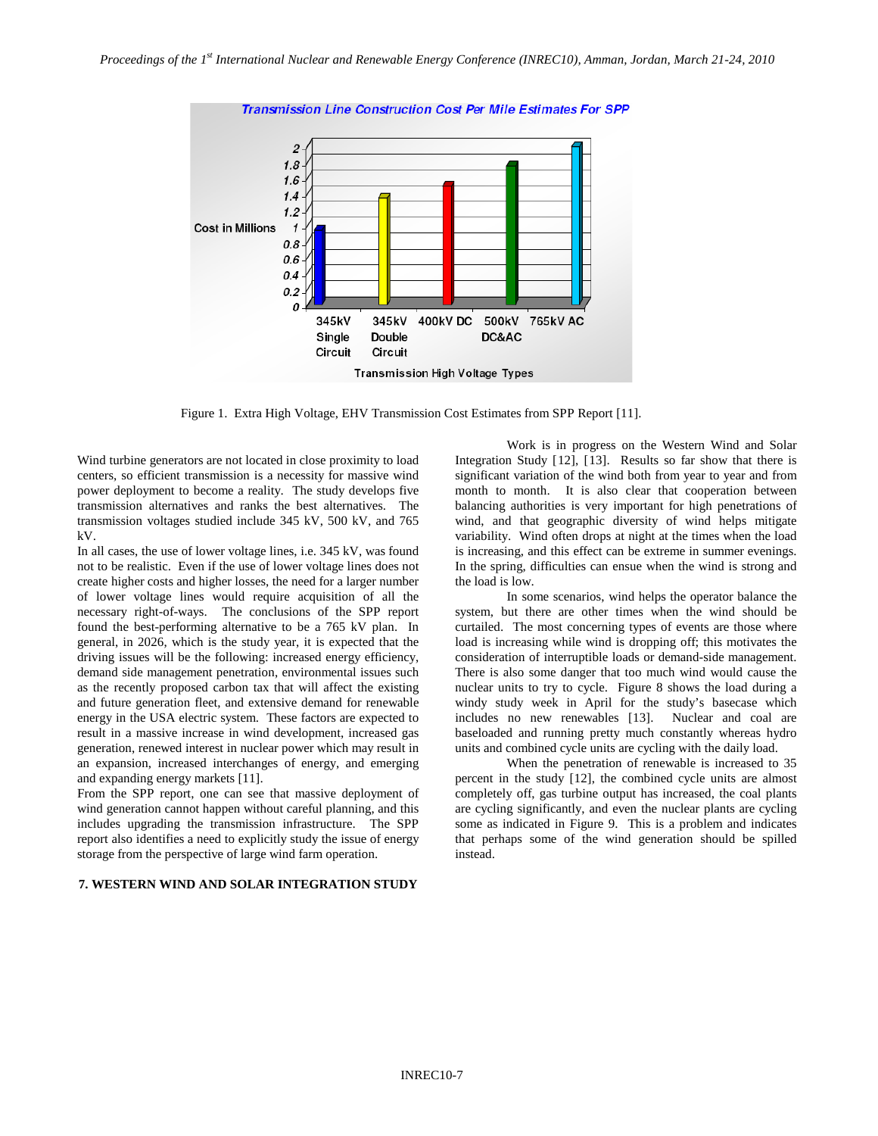

Transmission Line Construction Cost Per Mile Estimates For SPP

Figure 1. Extra High Voltage, EHV Transmission Cost Estimates from SPP Report [\[11\]](#page-5-0).

<span id="page-6-0"></span>Wind turbine generators are not located in close proximity to load centers, so efficient transmission is a necessity for massive wind power deployment to become a reality. The study develops five transmission alternatives and ranks the best alternatives. The transmission voltages studied include 345 kV, 500 kV, and 765 kV.

In all cases, the use of lower voltage lines, i.e. 345 kV, was found not to be realistic. Even if the use of lower voltage lines does not create higher costs and higher losses, the need for a larger number of lower voltage lines would require acquisition of all the necessary right-of-ways. The conclusions of the SPP report found the best-performing alternative to be a 765 kV plan. In general, in 2026, which is the study year, it is expected that the driving issues will be the following: increased energy efficiency, demand side management penetration, environmental issues such as the recently proposed carbon tax that will affect the existing and future generation fleet, and extensive demand for renewable energy in the USA electric system. These factors are expected to result in a massive increase in wind development, increased gas generation, renewed interest in nuclear power which may result in an expansion, increased interchanges of energy, and emerging and expanding energy markets [\[11\]](#page-5-0).

From the SPP report, one can see that massive deployment of wind generation cannot happen without careful planning, and this includes upgrading the transmission infrastructure. The SPP report also identifies a need to explicitly study the issue of energy storage from the perspective of large wind farm operation.

# **7. WESTERN WIND AND SOLAR INTEGRATION STUDY**

<span id="page-6-2"></span><span id="page-6-1"></span>Work is in progress on the Western Wind and Solar Integration Study [[12](#page-3-14)], [[13](#page-3-15) ]. Results so far show that there is significant variation of the wind both from year to year and from month to month. It is also clear that cooperation between balancing authorities is very important for high penetrations of wind, and that geographic diversity of wind helps mitigate variability. Wind often drops at night at the times when the load is increasing, and this effect can be extreme in summer evenings. In the spring, difficulties can ensue when the wind is strong and the load is low.

In some scenarios, wind helps the operator balance the system, but there are other times when the wind should be curtailed. The most concerning types of events are those where load is increasing while wind is dropping off; this motivates the consideration of interruptible loads or demand-side management. There is also some danger that too much wind would cause the nuclear units to try to cycle. [Figure 8](#page-7-0) shows the load during a windy study week in April for the study's basecase which includes no new renewables [\[13\]](#page-6-1). Nuclear and coal are baseloaded and running pretty much constantly whereas hydro units and combined cycle units are cycling with the daily load.

When the penetration of renewable is increased to 35 percent in the study [\[12\]](#page-6-2), the combined cycle units are almost completely off, gas turbine output has increased, the coal plants are cycling significantly, and even the nuclear plants are cycling some as indicated in [Figure 9.](#page-7-1) This is a problem and indicates that perhaps some of the wind generation should be spilled instead.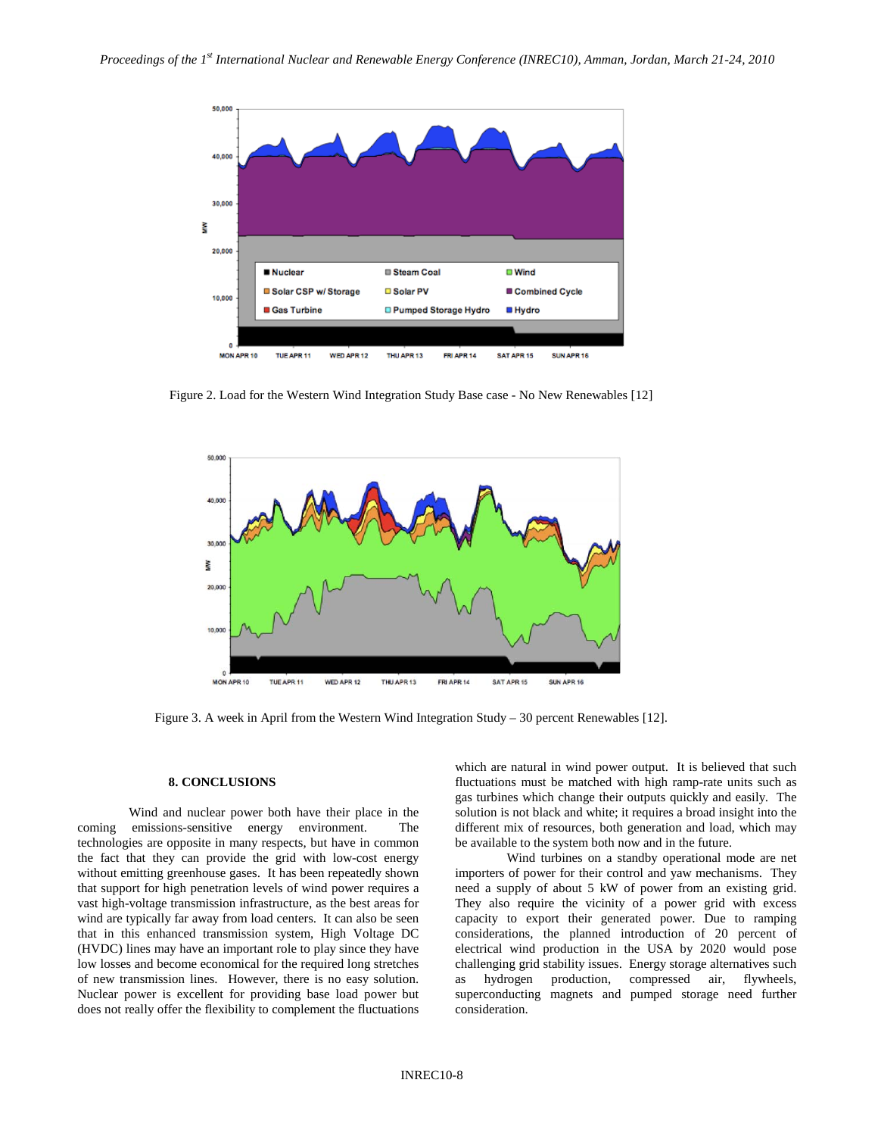

<span id="page-7-0"></span>Figure 2. Load for the Western Wind Integration Study Base case - No New Renewables [\[12\]](#page-6-2)



<span id="page-7-1"></span>Figure 3. A week in April from the Western Wind Integration Study – 30 percent Renewables [\[12\]](#page-6-2).

#### **8. CONCLUSIONS**

Wind and nuclear power both have their place in the coming emissions-sensitive energy environment. The technologies are opposite in many respects, but have in common the fact that they can provide the grid with low-cost energy without emitting greenhouse gases. It has been repeatedly shown that support for high penetration levels of wind power requires a vast high-voltage transmission infrastructure, as the best areas for wind are typically far away from load centers. It can also be seen that in this enhanced transmission system, High Voltage DC (HVDC) lines may have an important role to play since they have low losses and become economical for the required long stretches of new transmission lines. However, there is no easy solution. Nuclear power is excellent for providing base load power but does not really offer the flexibility to complement the fluctuations

which are natural in wind power output. It is believed that such fluctuations must be matched with high ramp-rate units such as gas turbines which change their outputs quickly and easily. The solution is not black and white; it requires a broad insight into the different mix of resources, both generation and load, which may be available to the system both now and in the future.

Wind turbines on a standby operational mode are net importers of power for their control and yaw mechanisms. They need a supply of about 5 kW of power from an existing grid. They also require the vicinity of a power grid with excess capacity to export their generated power. Due to ramping considerations, the planned introduction of 20 percent of electrical wind production in the USA by 2020 would pose challenging grid stability issues. Energy storage alternatives such as hydrogen production, compressed air, flywheels, superconducting magnets and pumped storage need further consideration.